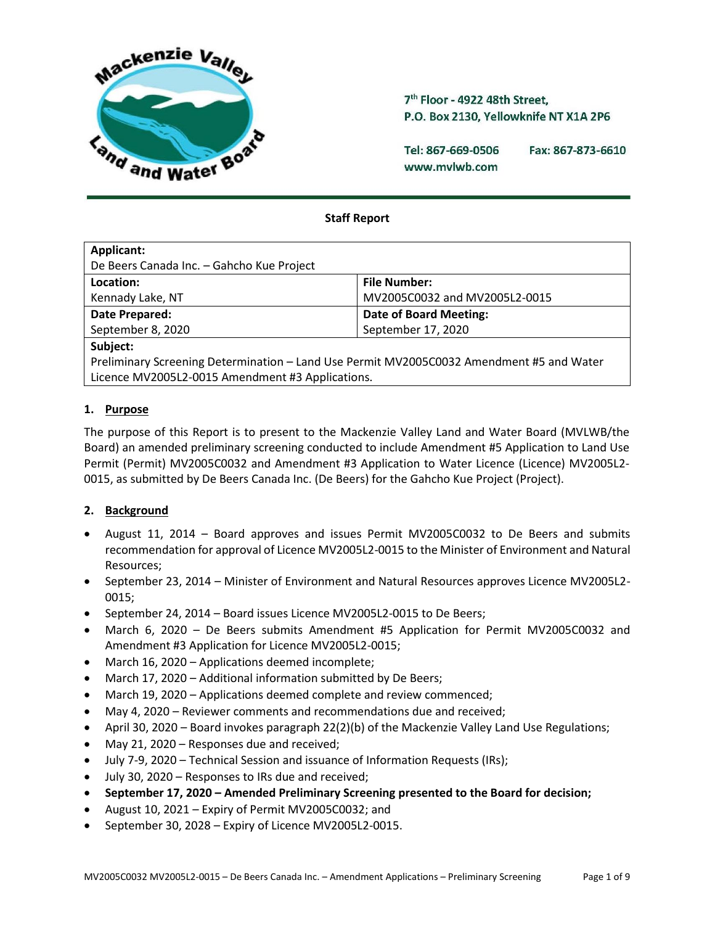

7<sup>th</sup> Floor - 4922 48th Street. P.O. Box 2130, Yellowknife NT X1A 2P6

Tel: 867-669-0506 Fax: 867-873-6610 www.mvlwb.com

# **Staff Report**

| Applicant:                                                                               |                               |  |  |  |
|------------------------------------------------------------------------------------------|-------------------------------|--|--|--|
| De Beers Canada Inc. - Gahcho Kue Project                                                |                               |  |  |  |
| Location:                                                                                | <b>File Number:</b>           |  |  |  |
| Kennady Lake, NT                                                                         | MV2005C0032 and MV2005L2-0015 |  |  |  |
| Date Prepared:                                                                           | <b>Date of Board Meeting:</b> |  |  |  |
| September 8, 2020                                                                        | September 17, 2020            |  |  |  |
| Subject:                                                                                 |                               |  |  |  |
| Preliminary Screening Determination - Land Use Permit MV2005C0032 Amendment #5 and Water |                               |  |  |  |
| Licence MV2005L2-0015 Amendment #3 Applications.                                         |                               |  |  |  |

## **1. Purpose**

The purpose of this Report is to present to the Mackenzie Valley Land and Water Board (MVLWB/the Board) an amended preliminary screening conducted to include Amendment #5 Application to Land Use Permit (Permit) MV2005C0032 and Amendment #3 Application to Water Licence (Licence) MV2005L2- 0015, as submitted by De Beers Canada Inc. (De Beers) for the Gahcho Kue Project (Project).

## **2. Background**

- August 11, 2014 Board approves and issues Permit MV2005C0032 to De Beers and submits recommendation for approval of Licence MV2005L2-0015 to the Minister of Environment and Natural Resources;
- September 23, 2014 Minister of Environment and Natural Resources approves Licence MV2005L2- 0015;
- September 24, 2014 Board issues Licence MV2005L2-0015 to De Beers;
- March 6, 2020 De Beers submits Amendment #5 Application for Permit MV2005C0032 and Amendment #3 Application for Licence MV2005L2-0015;
- March 16, 2020 Applications deemed incomplete;
- March 17, 2020 Additional information submitted by De Beers;
- March 19, 2020 Applications deemed complete and review commenced;
- May 4, 2020 Reviewer comments and recommendations due and received;
- April 30, 2020 Board invokes paragraph 22(2)(b) of the Mackenzie Valley Land Use Regulations;
- May 21, 2020 Responses due and received;
- July 7-9, 2020 Technical Session and issuance of Information Requests (IRs);
- July 30, 2020 Responses to IRs due and received;
- **September 17, 2020 – Amended Preliminary Screening presented to the Board for decision;**
- August 10, 2021 Expiry of Permit MV2005C0032; and
- September 30, 2028 Expiry of Licence MV2005L2-0015.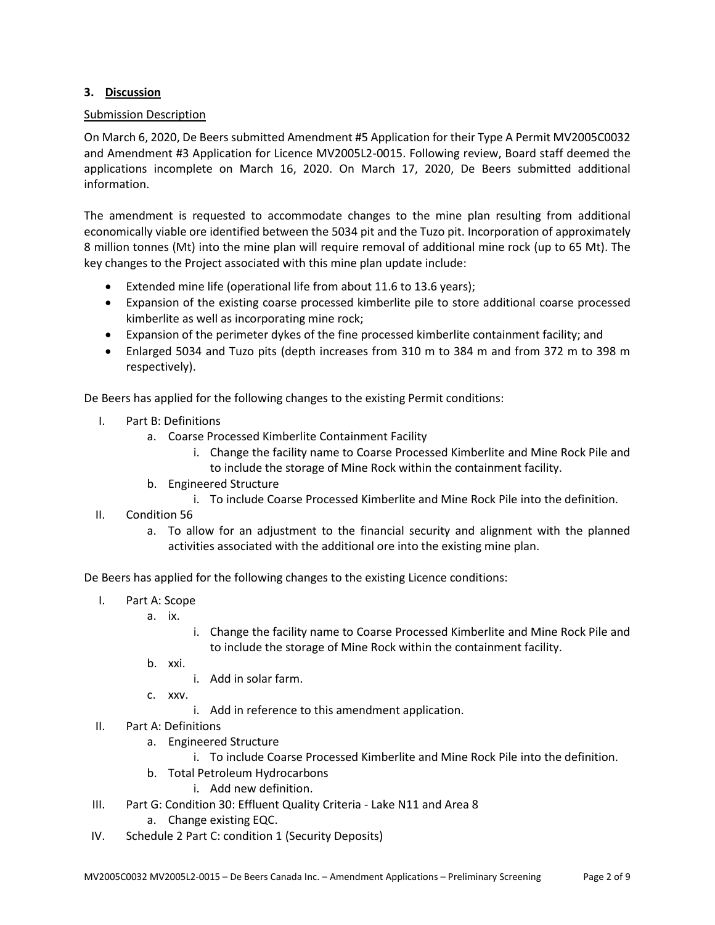# **3. Discussion**

## Submission Description

On March 6, 2020, De Beers submitted Amendment #5 Application for their Type A Permit MV2005C0032 and Amendment #3 Application for Licence MV2005L2-0015. Following review, Board staff deemed the applications incomplete on March 16, 2020. On March 17, 2020, De Beers submitted additional information.

The amendment is requested to accommodate changes to the mine plan resulting from additional economically viable ore identified between the 5034 pit and the Tuzo pit. Incorporation of approximately 8 million tonnes (Mt) into the mine plan will require removal of additional mine rock (up to 65 Mt). The key changes to the Project associated with this mine plan update include:

- Extended mine life (operational life from about 11.6 to 13.6 years);
- Expansion of the existing coarse processed kimberlite pile to store additional coarse processed kimberlite as well as incorporating mine rock;
- Expansion of the perimeter dykes of the fine processed kimberlite containment facility; and
- Enlarged 5034 and Tuzo pits (depth increases from 310 m to 384 m and from 372 m to 398 m respectively).

De Beers has applied for the following changes to the existing Permit conditions:

- I. Part B: Definitions
	- a. Coarse Processed Kimberlite Containment Facility
		- i. Change the facility name to Coarse Processed Kimberlite and Mine Rock Pile and to include the storage of Mine Rock within the containment facility.
	- b. Engineered Structure
		- i. To include Coarse Processed Kimberlite and Mine Rock Pile into the definition.
- II. Condition 56
	- a. To allow for an adjustment to the financial security and alignment with the planned activities associated with the additional ore into the existing mine plan.

De Beers has applied for the following changes to the existing Licence conditions:

- I. Part A: Scope
	- a. ix.
- i. Change the facility name to Coarse Processed Kimberlite and Mine Rock Pile and to include the storage of Mine Rock within the containment facility.
- b. xxi.
	- i. Add in solar farm.
- c. xxv.
	- i. Add in reference to this amendment application.
- II. Part A: Definitions
	- a. Engineered Structure
		- i. To include Coarse Processed Kimberlite and Mine Rock Pile into the definition.
	- b. Total Petroleum Hydrocarbons
		- i. Add new definition.
- III. Part G: Condition 30: Effluent Quality Criteria Lake N11 and Area 8
	- a. Change existing EQC.
- IV. Schedule 2 Part C: condition 1 (Security Deposits)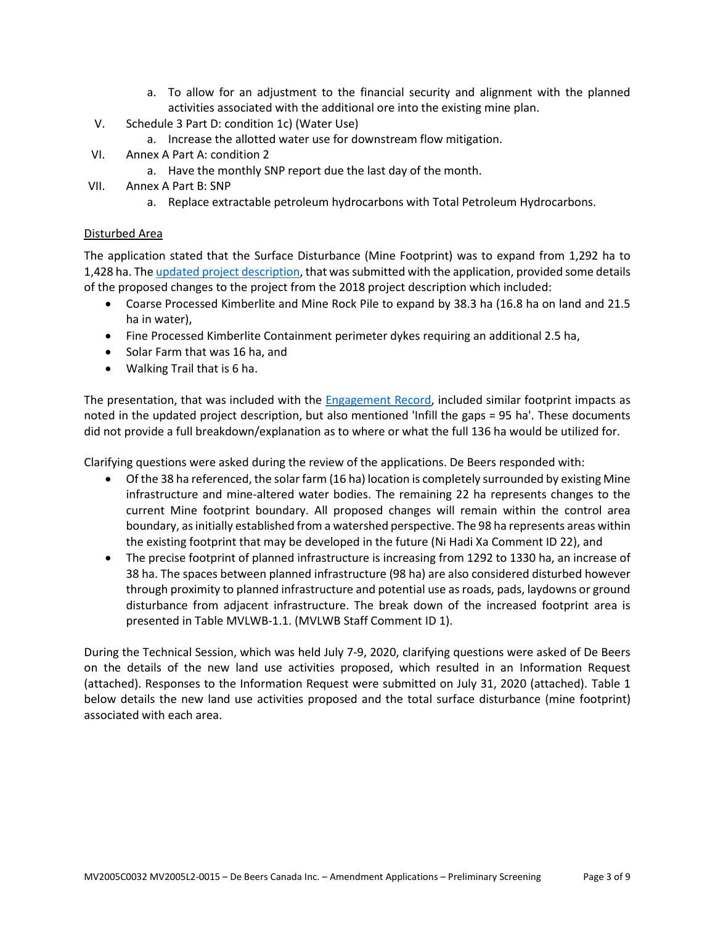- a. To allow for an adjustment to the financial security and alignment with the planned activities associated with the additional ore into the existing mine plan.
- V. Schedule 3 Part D: condition 1c) (Water Use)
	- a. Increase the allotted water use for downstream flow mitigation.
- VI. Annex A Part A: condition 2
	- a. Have the monthly SNP report due the last day of the month.
- VII. Annex A Part B: SNP
	- a. Replace extractable petroleum hydrocarbons with Total Petroleum Hydrocarbons.

## Disturbed Area

The application stated that the Surface Disturbance (Mine Footprint) was to expand from 1,292 ha to 1,428 ha. Th[e updated project description,](http://registry.mvlwb.ca/Documents/MV2005C0032/MV2005C0032%20-%20MV2005L2-0015%20-%20De%20Beers%20Gahcho%20Kue%20-%20Amendment%20Applications%20-%20Att%201%20Updated%20Project%20Description%20-%20Mar%206_20.pdf) that was submitted with the application, provided some details of the proposed changes to the project from the 2018 project description which included:

- Coarse Processed Kimberlite and Mine Rock Pile to expand by 38.3 ha (16.8 ha on land and 21.5 ha in water),
- Fine Processed Kimberlite Containment perimeter dykes requiring an additional 2.5 ha,
- Solar Farm that was 16 ha, and
- Walking Trail that is 6 ha.

The presentation, that was included with the [Engagement Record,](http://registry.mvlwb.ca/Documents/MV2005L2-0015/MV2005C0032%20-%20MV2005L2-0015%20-%20De%20Beers%20Gahcho%20Kue%20-%20Amendment%20Applications%20-%20Att%203%20Engagement%20Records%20-%20Mar%206_20.pdf) included similar footprint impacts as noted in the updated project description, but also mentioned 'Infill the gaps = 95 ha'. These documents did not provide a full breakdown/explanation as to where or what the full 136 ha would be utilized for.

Clarifying questions were asked during the review of the applications. De Beers responded with:

- Of the 38 ha referenced, the solar farm (16 ha) location is completely surrounded by existing Mine infrastructure and mine-altered water bodies. The remaining 22 ha represents changes to the current Mine footprint boundary. All proposed changes will remain within the control area boundary, as initially established from a watershed perspective. The 98 ha represents areas within the existing footprint that may be developed in the future (Ni Hadi Xa Comment ID 22), and
- The precise footprint of planned infrastructure is increasing from 1292 to 1330 ha, an increase of 38 ha. The spaces between planned infrastructure (98 ha) are also considered disturbed however through proximity to planned infrastructure and potential use as roads, pads, laydowns or ground disturbance from adjacent infrastructure. The break down of the increased footprint area is presented in Table MVLWB-1.1. (MVLWB Staff Comment ID 1).

During the Technical Session, which was held July 7-9, 2020, clarifying questions were asked of De Beers on the details of the new land use activities proposed, which resulted in an Information Request (attached). Responses to the Information Request were submitted on July 31, 2020 (attached). Table 1 below details the new land use activities proposed and the total surface disturbance (mine footprint) associated with each area.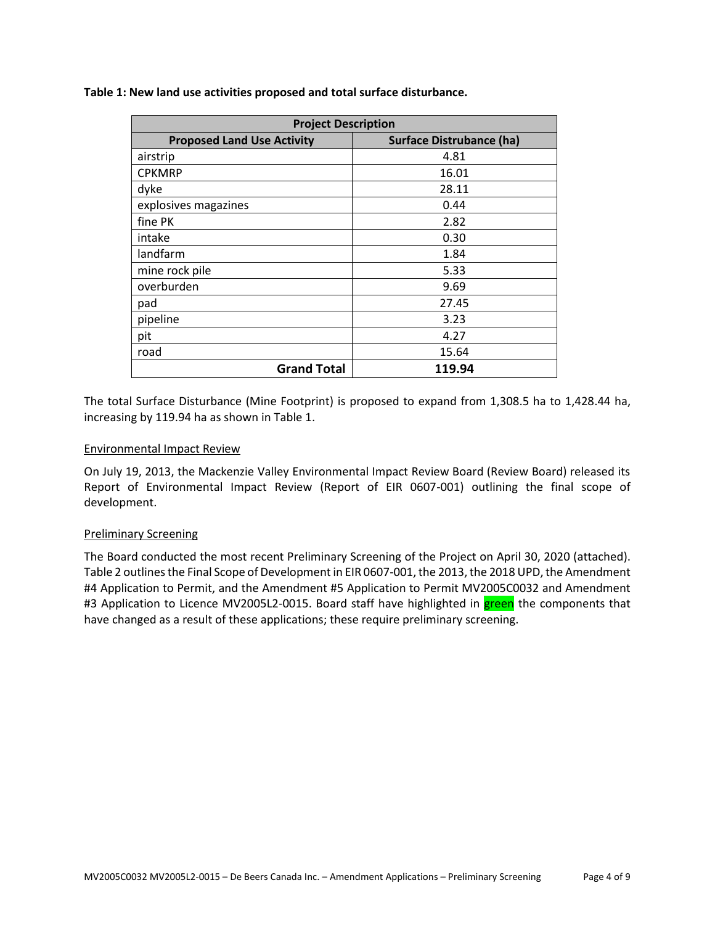| <b>Project Description</b>        |                                 |  |  |
|-----------------------------------|---------------------------------|--|--|
| <b>Proposed Land Use Activity</b> | <b>Surface Distrubance (ha)</b> |  |  |
| airstrip                          | 4.81                            |  |  |
| <b>CPKMRP</b>                     | 16.01                           |  |  |
| dyke                              | 28.11                           |  |  |
| explosives magazines              | 0.44                            |  |  |
| fine PK                           | 2.82                            |  |  |
| intake                            | 0.30                            |  |  |
| landfarm                          | 1.84                            |  |  |
| mine rock pile                    | 5.33                            |  |  |
| overburden                        | 9.69                            |  |  |
| pad                               | 27.45                           |  |  |
| pipeline                          | 3.23                            |  |  |
| pit                               | 4.27                            |  |  |
| road                              | 15.64                           |  |  |
| <b>Grand Total</b>                | 119.94                          |  |  |

The total Surface Disturbance (Mine Footprint) is proposed to expand from 1,308.5 ha to 1,428.44 ha, increasing by 119.94 ha as shown in Table 1.

### Environmental Impact Review

On July 19, 2013, the Mackenzie Valley Environmental Impact Review Board (Review Board) released its Report of Environmental Impact Review (Report of EIR 0607-001) outlining the final scope of development.

#### Preliminary Screening

The Board conducted the most recent Preliminary Screening of the Project on April 30, 2020 (attached). Table 2 outlines the Final Scope of Development in EIR 0607-001, the 2013, the 2018 UPD, the Amendment #4 Application to Permit, and the Amendment #5 Application to Permit MV2005C0032 and Amendment #3 Application to Licence MV2005L2-0015. Board staff have highlighted in green the components that have changed as a result of these applications; these require preliminary screening.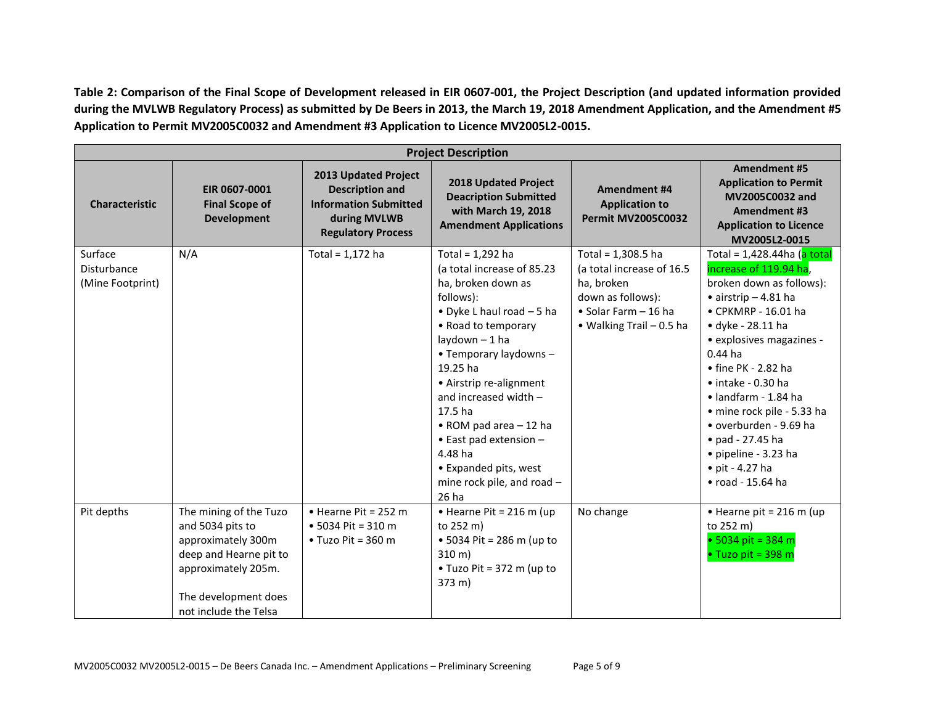**Table 2: Comparison of the Final Scope of Development released in EIR 0607-001, the Project Description (and updated information provided during the MVLWB Regulatory Process) as submitted by De Beers in 2013, the March 19, 2018 Amendment Application, and the Amendment #5 Application to Permit MV2005C0032 and Amendment #3 Application to Licence MV2005L2-0015.**

| <b>Project Description</b>                 |                                                                                                                                                                    |                                                                                                                             |                                                                                                                                                                                                                                                                                                                                                                                                                |                                                                                                                                        |                                                                                                                                                                                                                                                                                                                                                                                                                                                                                 |
|--------------------------------------------|--------------------------------------------------------------------------------------------------------------------------------------------------------------------|-----------------------------------------------------------------------------------------------------------------------------|----------------------------------------------------------------------------------------------------------------------------------------------------------------------------------------------------------------------------------------------------------------------------------------------------------------------------------------------------------------------------------------------------------------|----------------------------------------------------------------------------------------------------------------------------------------|---------------------------------------------------------------------------------------------------------------------------------------------------------------------------------------------------------------------------------------------------------------------------------------------------------------------------------------------------------------------------------------------------------------------------------------------------------------------------------|
| <b>Characteristic</b>                      | EIR 0607-0001<br><b>Final Scope of</b><br><b>Development</b>                                                                                                       | 2013 Updated Project<br><b>Description and</b><br><b>Information Submitted</b><br>during MVLWB<br><b>Regulatory Process</b> | 2018 Updated Project<br><b>Deacription Submitted</b><br>with March 19, 2018<br><b>Amendment Applications</b>                                                                                                                                                                                                                                                                                                   | Amendment #4<br><b>Application to</b><br><b>Permit MV2005C0032</b>                                                                     | <b>Amendment #5</b><br><b>Application to Permit</b><br>MV2005C0032 and<br>Amendment #3<br><b>Application to Licence</b><br>MV2005L2-0015                                                                                                                                                                                                                                                                                                                                        |
| Surface<br>Disturbance<br>(Mine Footprint) | N/A                                                                                                                                                                | Total = $1,172$ ha                                                                                                          | Total = $1,292$ ha<br>(a total increase of 85.23<br>ha, broken down as<br>follows):<br>• Dyke L haul road $-5$ ha<br>• Road to temporary<br>laydown - 1 ha<br>• Temporary laydowns -<br>19.25 ha<br>• Airstrip re-alignment<br>and increased width -<br>17.5 ha<br>$\bullet$ ROM pad area - 12 ha<br>$\bullet$ East pad extension -<br>4.48 ha<br>• Expanded pits, west<br>mine rock pile, and road -<br>26 ha | Total = 1,308.5 ha<br>(a total increase of 16.5<br>ha, broken<br>down as follows):<br>· Solar Farm - 16 ha<br>• Walking Trail - 0.5 ha | Total = 1,428.44ha (a total<br>increase of 119.94 ha,<br>broken down as follows):<br>$\bullet$ airstrip - 4.81 ha<br>• CPKMRP - 16.01 ha<br>$\bullet$ dyke - 28.11 ha<br>• explosives magazines -<br>$0.44$ ha<br>$\bullet$ fine PK - 2.82 ha<br>$\bullet$ intake - 0.30 ha<br>$\bullet$ landfarm - 1.84 ha<br>· mine rock pile - 5.33 ha<br>· overburden - 9.69 ha<br>$\bullet$ pad - 27.45 ha<br>• pipeline - 3.23 ha<br>$\bullet$ pit - 4.27 ha<br>$\bullet$ road - 15.64 ha |
| Pit depths                                 | The mining of the Tuzo<br>and 5034 pits to<br>approximately 300m<br>deep and Hearne pit to<br>approximately 205m.<br>The development does<br>not include the Telsa | $\bullet$ Hearne Pit = 252 m<br>• 5034 Pit = 310 m<br>$\bullet$ Tuzo Pit = 360 m                                            | $\bullet$ Hearne Pit = 216 m (up<br>to 252 m)<br>• 5034 Pit = 286 m (up to<br>$310 \, \text{m}$<br>$\bullet$ Tuzo Pit = 372 m (up to<br>373 m)                                                                                                                                                                                                                                                                 | No change                                                                                                                              | $\bullet$ Hearne pit = 216 m (up<br>to 252 m)<br>• 5034 pit = 384 m<br>$\bullet$ Tuzo pit = 398 m                                                                                                                                                                                                                                                                                                                                                                               |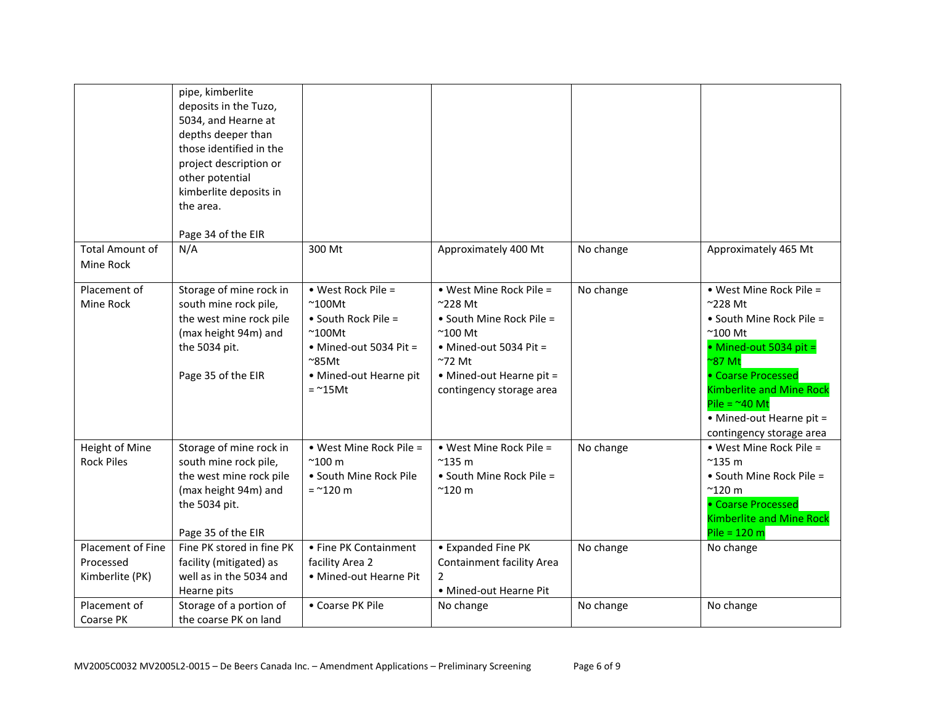|                                                   | pipe, kimberlite<br>deposits in the Tuzo,<br>5034, and Hearne at<br>depths deeper than<br>those identified in the<br>project description or<br>other potential<br>kimberlite deposits in<br>the area.<br>Page 34 of the EIR |                                                                                                                                                                      |                                                                                                                                                                                            |           |                                                                                                                                                                                                                                                                              |
|---------------------------------------------------|-----------------------------------------------------------------------------------------------------------------------------------------------------------------------------------------------------------------------------|----------------------------------------------------------------------------------------------------------------------------------------------------------------------|--------------------------------------------------------------------------------------------------------------------------------------------------------------------------------------------|-----------|------------------------------------------------------------------------------------------------------------------------------------------------------------------------------------------------------------------------------------------------------------------------------|
| <b>Total Amount of</b><br>Mine Rock               | N/A                                                                                                                                                                                                                         | 300 Mt                                                                                                                                                               | Approximately 400 Mt                                                                                                                                                                       | No change | Approximately 465 Mt                                                                                                                                                                                                                                                         |
| Placement of<br>Mine Rock                         | Storage of mine rock in<br>south mine rock pile,<br>the west mine rock pile<br>(max height 94m) and<br>the 5034 pit.<br>Page 35 of the EIR                                                                                  | • West Rock Pile =<br>$~^{\sim}$ 100Mt<br>• South Rock Pile =<br>$~^{\sim}$ 100Mt<br>• Mined-out 5034 Pit =<br>$\approx$ 85Mt<br>• Mined-out Hearne pit<br>$=$ ~15Mt | • West Mine Rock Pile =<br>$^{\sim}$ 228 Mt<br>• South Mine Rock Pile =<br>$^{\sim}$ 100 Mt<br>• Mined-out 5034 Pit =<br>$~272$ Mt<br>• Mined-out Hearne pit =<br>contingency storage area | No change | • West Mine Rock Pile =<br>$~228$ Mt<br>• South Mine Rock Pile =<br>$^{\sim}$ 100 Mt<br>• Mined-out 5034 pit =<br>$\approx$ 87 Mt<br>• Coarse Processed<br><b>Kimberlite and Mine Rock</b><br>Pile = $^{\sim}$ 40 Mt<br>• Mined-out Hearne pit =<br>contingency storage area |
| Height of Mine<br><b>Rock Piles</b>               | Storage of mine rock in<br>south mine rock pile,<br>the west mine rock pile<br>(max height 94m) and<br>the 5034 pit.<br>Page 35 of the EIR                                                                                  | • West Mine Rock Pile =<br>$^{\sim}$ 100 m<br>· South Mine Rock Pile<br>$=$ ~120 m                                                                                   | • West Mine Rock Pile =<br>$^{\sim}$ 135 m<br>• South Mine Rock Pile =<br>$^{\sim}$ 120 m                                                                                                  | No change | . West Mine Rock Pile =<br>$^{\sim}$ 135 m<br>• South Mine Rock Pile =<br>$^{\sim}$ 120 m<br>• Coarse Processed<br><b>Kimberlite and Mine Rock</b><br>Pile = $120 m$                                                                                                         |
| Placement of Fine<br>Processed<br>Kimberlite (PK) | Fine PK stored in fine PK<br>facility (mitigated) as<br>well as in the 5034 and<br>Hearne pits                                                                                                                              | • Fine PK Containment<br>facility Area 2<br>• Mined-out Hearne Pit                                                                                                   | • Expanded Fine PK<br>Containment facility Area<br>$\overline{2}$<br>• Mined-out Hearne Pit                                                                                                | No change | No change                                                                                                                                                                                                                                                                    |
| Placement of<br>Coarse PK                         | Storage of a portion of<br>the coarse PK on land                                                                                                                                                                            | • Coarse PK Pile                                                                                                                                                     | No change                                                                                                                                                                                  | No change | No change                                                                                                                                                                                                                                                                    |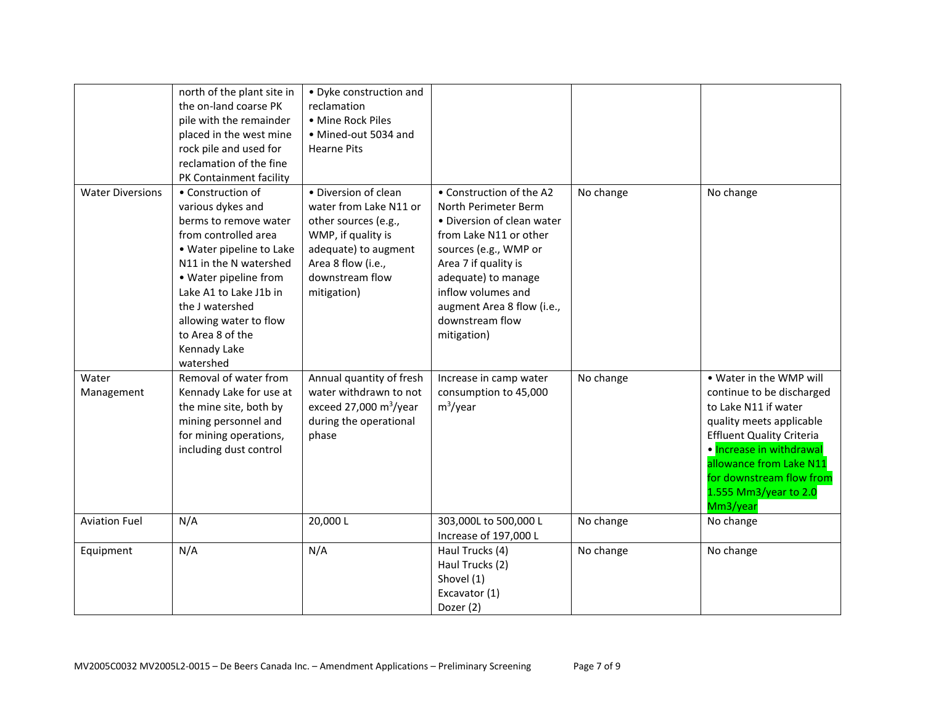|                         | north of the plant site in<br>the on-land coarse PK<br>pile with the remainder<br>placed in the west mine<br>rock pile and used for<br>reclamation of the fine<br>PK Containment facility                                                                                                      | • Dyke construction and<br>reclamation<br>• Mine Rock Piles<br>· Mined-out 5034 and<br><b>Hearne Pits</b>                                                                    |                                                                                                                                                                                                                                                                        |           |                                                                                                                                                                                                                                                                      |
|-------------------------|------------------------------------------------------------------------------------------------------------------------------------------------------------------------------------------------------------------------------------------------------------------------------------------------|------------------------------------------------------------------------------------------------------------------------------------------------------------------------------|------------------------------------------------------------------------------------------------------------------------------------------------------------------------------------------------------------------------------------------------------------------------|-----------|----------------------------------------------------------------------------------------------------------------------------------------------------------------------------------------------------------------------------------------------------------------------|
| <b>Water Diversions</b> | • Construction of<br>various dykes and<br>berms to remove water<br>from controlled area<br>· Water pipeline to Lake<br>N11 in the N watershed<br>• Water pipeline from<br>Lake A1 to Lake J1b in<br>the J watershed<br>allowing water to flow<br>to Area 8 of the<br>Kennady Lake<br>watershed | · Diversion of clean<br>water from Lake N11 or<br>other sources (e.g.,<br>WMP, if quality is<br>adequate) to augment<br>Area 8 flow (i.e.,<br>downstream flow<br>mitigation) | • Construction of the A2<br>North Perimeter Berm<br>· Diversion of clean water<br>from Lake N11 or other<br>sources (e.g., WMP or<br>Area 7 if quality is<br>adequate) to manage<br>inflow volumes and<br>augment Area 8 flow (i.e.,<br>downstream flow<br>mitigation) | No change | No change                                                                                                                                                                                                                                                            |
| Water<br>Management     | Removal of water from<br>Kennady Lake for use at<br>the mine site, both by<br>mining personnel and<br>for mining operations,<br>including dust control                                                                                                                                         | Annual quantity of fresh<br>water withdrawn to not<br>exceed 27,000 $m^3$ /year<br>during the operational<br>phase                                                           | Increase in camp water<br>consumption to 45,000<br>$m^3$ /year                                                                                                                                                                                                         | No change | . Water in the WMP will<br>continue to be discharged<br>to Lake N11 if water<br>quality meets applicable<br><b>Effluent Quality Criteria</b><br>· Increase in withdrawal<br>allowance from Lake N11<br>for downstream flow from<br>1.555 Mm3/year to 2.0<br>Mm3/year |
| <b>Aviation Fuel</b>    | N/A                                                                                                                                                                                                                                                                                            | 20,000L                                                                                                                                                                      | 303,000L to 500,000 L<br>Increase of 197,000 L                                                                                                                                                                                                                         | No change | No change                                                                                                                                                                                                                                                            |
| Equipment               | N/A                                                                                                                                                                                                                                                                                            | N/A                                                                                                                                                                          | Haul Trucks (4)<br>Haul Trucks (2)<br>Shovel (1)<br>Excavator (1)<br>Dozer (2)                                                                                                                                                                                         | No change | No change                                                                                                                                                                                                                                                            |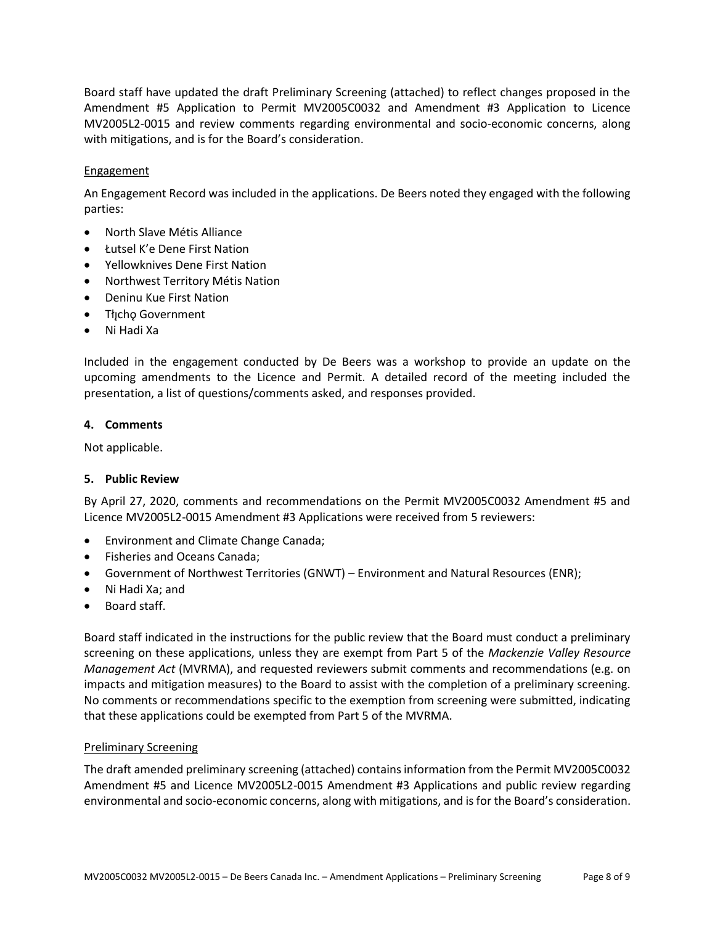Board staff have updated the draft Preliminary Screening (attached) to reflect changes proposed in the Amendment #5 Application to Permit MV2005C0032 and Amendment #3 Application to Licence MV2005L2-0015 and review comments regarding environmental and socio-economic concerns, along with mitigations, and is for the Board's consideration.

### Engagement

An Engagement Record was included in the applications. De Beers noted they engaged with the following parties:

- North Slave Métis Alliance
- Łutsel K'e Dene First Nation
- Yellowknives Dene First Nation
- Northwest Territory Métis Nation
- Deninu Kue First Nation
- Tłıcho Government
- Ni Hadi Xa

Included in the engagement conducted by De Beers was a workshop to provide an update on the upcoming amendments to the Licence and Permit. A detailed record of the meeting included the presentation, a list of questions/comments asked, and responses provided.

### **4. Comments**

Not applicable.

## **5. Public Review**

By April 27, 2020, comments and recommendations on the Permit MV2005C0032 Amendment #5 and Licence MV2005L2-0015 Amendment #3 Applications were received from 5 reviewers:

- Environment and Climate Change Canada;
- Fisheries and Oceans Canada;
- Government of Northwest Territories (GNWT) Environment and Natural Resources (ENR);
- Ni Hadi Xa; and
- Board staff.

Board staff indicated in the instructions for the public review that the Board must conduct a preliminary screening on these applications, unless they are exempt from Part 5 of the *Mackenzie Valley Resource Management Act* (MVRMA), and requested reviewers submit comments and recommendations (e.g. on impacts and mitigation measures) to the Board to assist with the completion of a preliminary screening. No comments or recommendations specific to the exemption from screening were submitted, indicating that these applications could be exempted from Part 5 of the MVRMA.

## Preliminary Screening

The draft amended preliminary screening (attached) contains information from the Permit MV2005C0032 Amendment #5 and Licence MV2005L2-0015 Amendment #3 Applications and public review regarding environmental and socio-economic concerns, along with mitigations, and is for the Board's consideration.